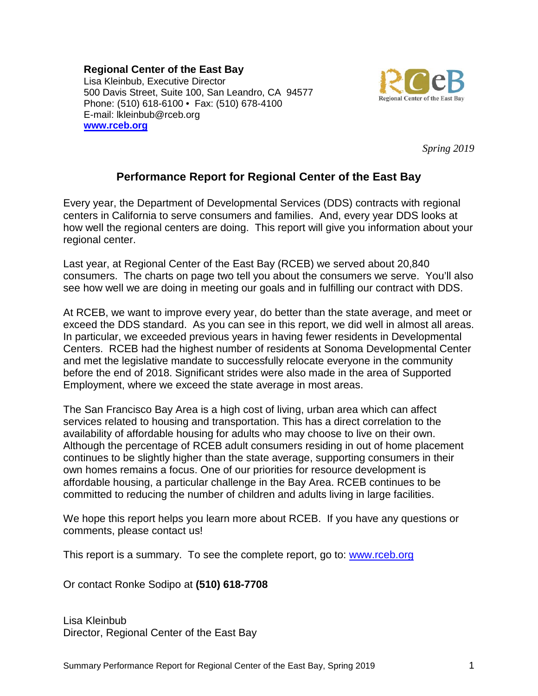#### **Regional Center of the East Bay**

Lisa Kleinbub, Executive Director 500 Davis Street, Suite 100, San Leandro, CA 94577 Phone: (510) 618-6100 • Fax: (510) 678-4100 E-mail: lkleinbub@rceb.org **[www.rceb.org](http://www.rceb.org/)**



*Spring 2019*

# **Performance Report for Regional Center of the East Bay**

Every year, the Department of Developmental Services (DDS) contracts with regional centers in California to serve consumers and families. And, every year DDS looks at how well the regional centers are doing. This report will give you information about your regional center.

Last year, at Regional Center of the East Bay (RCEB) we served about 20,840 consumers. The charts on page two tell you about the consumers we serve. You'll also see how well we are doing in meeting our goals and in fulfilling our contract with DDS.

At RCEB, we want to improve every year, do better than the state average, and meet or exceed the DDS standard. As you can see in this report, we did well in almost all areas. In particular, we exceeded previous years in having fewer residents in Developmental Centers. RCEB had the highest number of residents at Sonoma Developmental Center and met the legislative mandate to successfully relocate everyone in the community before the end of 2018. Significant strides were also made in the area of Supported Employment, where we exceed the state average in most areas.

The San Francisco Bay Area is a high cost of living, urban area which can affect services related to housing and transportation. This has a direct correlation to the availability of affordable housing for adults who may choose to live on their own. Although the percentage of RCEB adult consumers residing in out of home placement continues to be slightly higher than the state average, supporting consumers in their own homes remains a focus. One of our priorities for resource development is affordable housing, a particular challenge in the Bay Area. RCEB continues to be committed to reducing the number of children and adults living in large facilities.

We hope this report helps you learn more about RCEB. If you have any questions or comments, please contact us!

This report is a summary. To see the complete report, go to: [www.rceb.org](http://www.rceb.org/)

Or contact Ronke Sodipo at **(510) 618-7708**

Lisa Kleinbub Director, Regional Center of the East Bay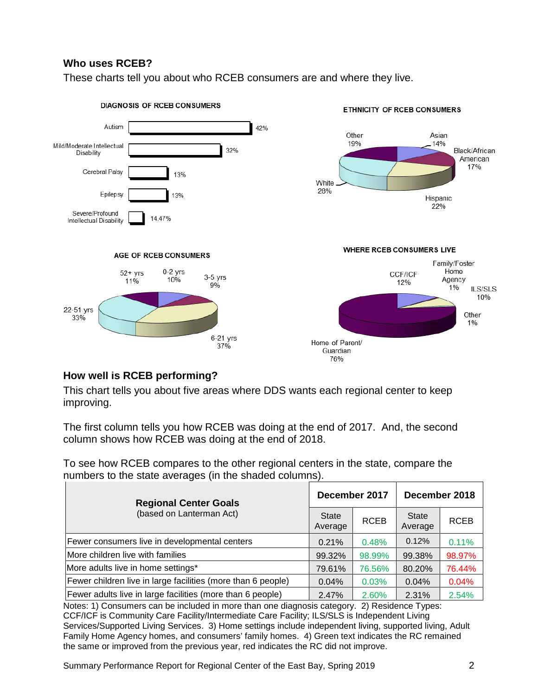## **Who uses RCEB?**

These charts tell you about who RCEB consumers are and where they live.



## **How well is RCEB performing?**

This chart tells you about five areas where DDS wants each regional center to keep improving.

The first column tells you how RCEB was doing at the end of 2017. And, the second column shows how RCEB was doing at the end of 2018.

To see how RCEB compares to the other regional centers in the state, compare the numbers to the state averages (in the shaded columns).

| <b>Regional Center Goals</b>                                 |                         | December 2017 | December 2018           |             |  |
|--------------------------------------------------------------|-------------------------|---------------|-------------------------|-------------|--|
| (based on Lanterman Act)                                     | <b>State</b><br>Average | <b>RCEB</b>   | <b>State</b><br>Average | <b>RCEB</b> |  |
| Fewer consumers live in developmental centers                | 0.21%                   | 0.48%         | 0.12%                   | 0.11%       |  |
| More children live with families                             | 99.32%                  | 98.99%        | 99.38%                  | 98.97%      |  |
| More adults live in home settings*                           | 79.61%                  | 76.56%        | 80.20%                  | 76.44%      |  |
| Fewer children live in large facilities (more than 6 people) | 0.04%                   | 0.03%         | 0.04%                   | 0.04%       |  |
| Fewer adults live in large facilities (more than 6 people)   | 2.47%                   | 2.60%         | 2.31%                   | 2.54%       |  |

Notes: 1) Consumers can be included in more than one diagnosis category. 2) Residence Types: CCF/ICF is Community Care Facility/Intermediate Care Facility; ILS/SLS is Independent Living Services/Supported Living Services. 3) Home settings include independent living, supported living, Adult Family Home Agency homes, and consumers' family homes. 4) Green text indicates the RC remained the same or improved from the previous year, red indicates the RC did not improve.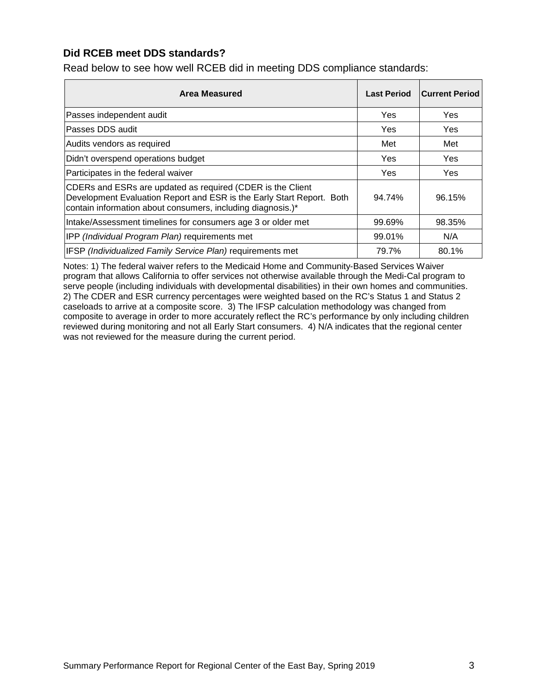### **Did RCEB meet DDS standards?**

Read below to see how well RCEB did in meeting DDS compliance standards:

| Area Measured                                                                                                                                                                                      | <b>Last Period</b> | <b>Current Period</b> |
|----------------------------------------------------------------------------------------------------------------------------------------------------------------------------------------------------|--------------------|-----------------------|
| Passes independent audit                                                                                                                                                                           | Yes                | Yes                   |
| Passes DDS audit                                                                                                                                                                                   | Yes                | Yes                   |
| Audits vendors as required                                                                                                                                                                         | Met                | Met                   |
| Didn't overspend operations budget                                                                                                                                                                 | Yes                | Yes                   |
| Participates in the federal waiver                                                                                                                                                                 | Yes                | Yes                   |
| CDERs and ESRs are updated as required (CDER is the Client<br>Development Evaluation Report and ESR is the Early Start Report. Both<br>contain information about consumers, including diagnosis.)* | 94.74%             | 96.15%                |
| Intake/Assessment timelines for consumers age 3 or older met                                                                                                                                       | 99.69%             | 98.35%                |
| IPP (Individual Program Plan) requirements met                                                                                                                                                     | 99.01%             | N/A                   |
| IFSP (Individualized Family Service Plan) requirements met                                                                                                                                         | 79.7%              | 80.1%                 |

Notes: 1) The federal waiver refers to the Medicaid Home and Community-Based Services Waiver program that allows California to offer services not otherwise available through the Medi-Cal program to serve people (including individuals with developmental disabilities) in their own homes and communities. 2) The CDER and ESR currency percentages were weighted based on the RC's Status 1 and Status 2 caseloads to arrive at a composite score. 3) The IFSP calculation methodology was changed from composite to average in order to more accurately reflect the RC's performance by only including children reviewed during monitoring and not all Early Start consumers. 4) N/A indicates that the regional center was not reviewed for the measure during the current period.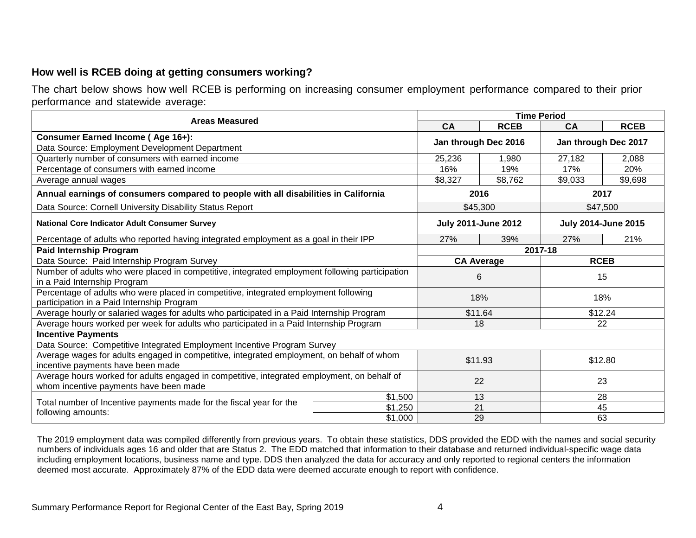### **How well is RCEB doing at getting consumers working?**

The chart below shows how well RCEB is performing on increasing consumer employment performance compared to their prior performance and statewide average:

| <b>Areas Measured</b>                                                                                                                 | <b>Time Period</b>   |                            |                            |             |         |  |  |
|---------------------------------------------------------------------------------------------------------------------------------------|----------------------|----------------------------|----------------------------|-------------|---------|--|--|
|                                                                                                                                       | CA                   | <b>RCEB</b>                | CA                         | <b>RCEB</b> |         |  |  |
| Consumer Earned Income (Age 16+):                                                                                                     | Jan through Dec 2016 |                            | Jan through Dec 2017       |             |         |  |  |
| Data Source: Employment Development Department                                                                                        |                      |                            |                            |             |         |  |  |
| Quarterly number of consumers with earned income                                                                                      | 25,236               | 1,980                      | 27,182                     | 2,088       |         |  |  |
| Percentage of consumers with earned income                                                                                            |                      | 16%                        | 19%                        | 17%         | 20%     |  |  |
| Average annual wages                                                                                                                  |                      | \$8,327                    | \$8,762                    | \$9,033     | \$9,698 |  |  |
| Annual earnings of consumers compared to people with all disabilities in California                                                   |                      | 2016                       | 2017                       |             |         |  |  |
| Data Source: Cornell University Disability Status Report                                                                              |                      | \$45,300                   | \$47,500                   |             |         |  |  |
| <b>National Core Indicator Adult Consumer Survey</b>                                                                                  |                      | <b>July 2011-June 2012</b> | <b>July 2014-June 2015</b> |             |         |  |  |
| Percentage of adults who reported having integrated employment as a goal in their IPP                                                 |                      | 27%                        | 39%                        | 27%         | 21%     |  |  |
| <b>Paid Internship Program</b>                                                                                                        |                      | 2017-18                    |                            |             |         |  |  |
| Data Source: Paid Internship Program Survey                                                                                           |                      | <b>CA Average</b>          |                            | <b>RCEB</b> |         |  |  |
| Number of adults who were placed in competitive, integrated employment following participation<br>in a Paid Internship Program        | 6                    |                            |                            | 15          |         |  |  |
| Percentage of adults who were placed in competitive, integrated employment following<br>participation in a Paid Internship Program    | 18%                  |                            |                            | 18%         |         |  |  |
| Average hourly or salaried wages for adults who participated in a Paid Internship Program                                             | \$11.64              |                            | \$12.24                    |             |         |  |  |
| Average hours worked per week for adults who participated in a Paid Internship Program                                                |                      |                            | 18                         | 22          |         |  |  |
| <b>Incentive Payments</b>                                                                                                             |                      |                            |                            |             |         |  |  |
| Data Source: Competitive Integrated Employment Incentive Program Survey                                                               |                      |                            |                            |             |         |  |  |
| Average wages for adults engaged in competitive, integrated employment, on behalf of whom<br>incentive payments have been made        | \$11.93<br>\$12.80   |                            |                            |             |         |  |  |
| Average hours worked for adults engaged in competitive, integrated employment, on behalf of<br>whom incentive payments have been made | 22<br>23             |                            |                            |             |         |  |  |
|                                                                                                                                       | \$1,500              |                            | 13                         |             | 28      |  |  |
| Total number of Incentive payments made for the fiscal year for the                                                                   | \$1,250              |                            | 21                         |             | 45      |  |  |
| following amounts:                                                                                                                    | \$1,000              |                            | 29                         |             | 63      |  |  |

The 2019 employment data was compiled differently from previous years. To obtain these statistics, DDS provided the EDD with the names and social security numbers of individuals ages 16 and older that are Status 2. The EDD matched that information to their database and returned individual-specific wage data including employment locations, business name and type. DDS then analyzed the data for accuracy and only reported to regional centers the information deemed most accurate. Approximately 87% of the EDD data were deemed accurate enough to report with confidence.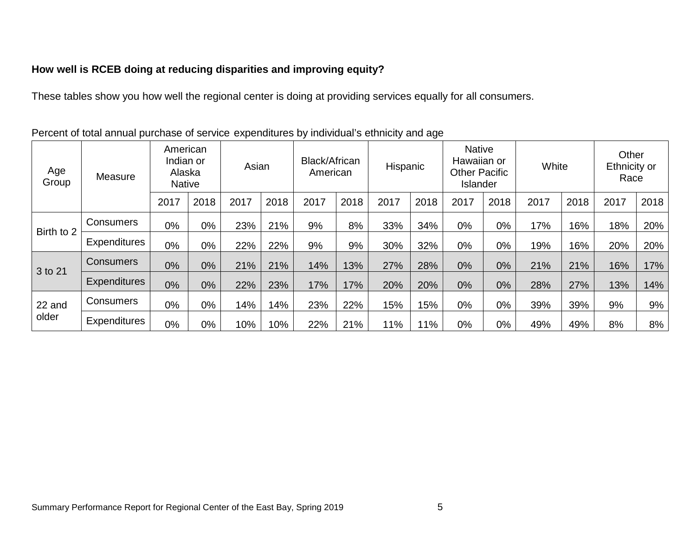# **How well is RCEB doing at reducing disparities and improving equity?**

These tables show you how well the regional center is doing at providing services equally for all consumers.

| Age<br>Group    | Measure             | American<br>Indian or<br>Alaska<br><b>Native</b> |      | Asian |      | Black/African<br>American |      | Hispanic |       | <b>Native</b><br>Hawaiian or<br><b>Other Pacific</b><br><b>Islander</b> |       | White |      | Other<br>Ethnicity or<br>Race |      |
|-----------------|---------------------|--------------------------------------------------|------|-------|------|---------------------------|------|----------|-------|-------------------------------------------------------------------------|-------|-------|------|-------------------------------|------|
|                 |                     | 2017                                             | 2018 | 2017  | 2018 | 2017                      | 2018 | 2017     | 2018  | 2017                                                                    | 2018  | 2017  | 2018 | 2017                          | 2018 |
| Birth to 2      | Consumers           | 0%                                               | 0%   | 23%   | 21%  | 9%                        | 8%   | 33%      | 34%   | $0\%$                                                                   | 0%    | 17%   | 16%  | 18%                           | 20%  |
|                 | <b>Expenditures</b> | 0%                                               | 0%   | 22%   | 22%  | 9%                        | 9%   | 30%      | 32%   | 0%                                                                      | 0%    | 19%   | 16%  | 20%                           | 20%  |
| 3 to 21         | <b>Consumers</b>    | 0%                                               | 0%   | 21%   | 21%  | 14%                       | 13%  | 27%      | 28%   | 0%                                                                      | $0\%$ | 21%   | 21%  | 16%                           | 17%  |
|                 | <b>Expenditures</b> | 0%                                               | 0%   | 22%   | 23%  | 17%                       | 17%  | 20%      | 20%   | 0%                                                                      | 0%    | 28%   | 27%  | 13%                           | 14%  |
| 22 and<br>older | Consumers           | 0%                                               | 0%   | 14%   | 14%  | 23%                       | 22%  | 15%      | 15%   | $0\%$                                                                   | 0%    | 39%   | 39%  | 9%                            | 9%   |
|                 | <b>Expenditures</b> | 0%                                               | 0%   | 10%   | 10%  | 22%                       | 21%  | 11%      | $1\%$ | 0%                                                                      | 0%    | 49%   | 49%  | 8%                            | 8%   |

Percent of total annual purchase of service expenditures by individual's ethnicity and age